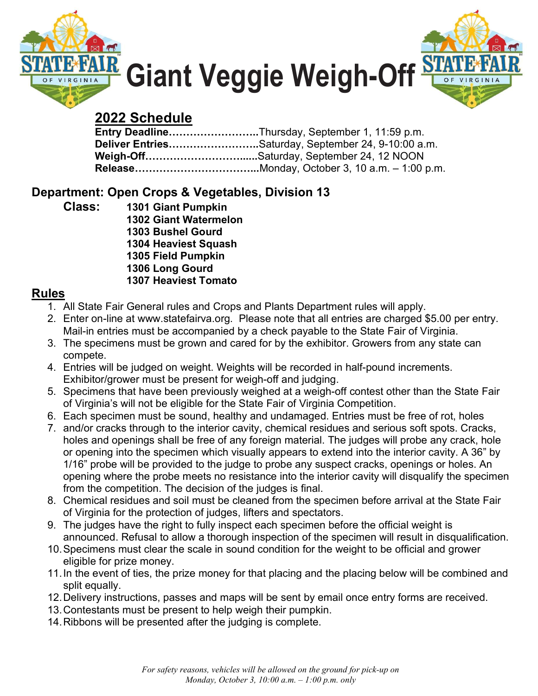



# 2022 Schedule

| <b>Entry DeadlineThursday, September 1, 11:59 p.m.</b> |
|--------------------------------------------------------|
| Deliver EntriesSaturday, September 24, 9-10:00 a.m.    |
| Weigh-OffSaturday, September 24, 12 NOON               |
|                                                        |

## Department: Open Crops & Vegetables, Division 13

Class: 1301 Giant Pumpkin 1302 Giant Watermelon 1303 Bushel Gourd 1304 Heaviest Squash 1305 Field Pumpkin 1306 Long Gourd 1307 Heaviest Tomato

### Rules

- 1. All State Fair General rules and Crops and Plants Department rules will apply.
- 2. Enter on-line at www.statefairva.org. Please note that all entries are charged \$5.00 per entry. Mail-in entries must be accompanied by a check payable to the State Fair of Virginia.
- 3. The specimens must be grown and cared for by the exhibitor. Growers from any state can compete.
- 4. Entries will be judged on weight. Weights will be recorded in half-pound increments. Exhibitor/grower must be present for weigh-off and judging.
- 5. Specimens that have been previously weighed at a weigh-off contest other than the State Fair of Virginia's will not be eligible for the State Fair of Virginia Competition.
- 6. Each specimen must be sound, healthy and undamaged. Entries must be free of rot, holes
- 7. and/or cracks through to the interior cavity, chemical residues and serious soft spots. Cracks, holes and openings shall be free of any foreign material. The judges will probe any crack, hole or opening into the specimen which visually appears to extend into the interior cavity. A 36" by 1/16" probe will be provided to the judge to probe any suspect cracks, openings or holes. An opening where the probe meets no resistance into the interior cavity will disqualify the specimen from the competition. The decision of the judges is final.
- 8. Chemical residues and soil must be cleaned from the specimen before arrival at the State Fair of Virginia for the protection of judges, lifters and spectators.
- 9. The judges have the right to fully inspect each specimen before the official weight is announced. Refusal to allow a thorough inspection of the specimen will result in disqualification.
- 10. Specimens must clear the scale in sound condition for the weight to be official and grower eligible for prize money.
- 11. In the event of ties, the prize money for that placing and the placing below will be combined and split equally.
- 12. Delivery instructions, passes and maps will be sent by email once entry forms are received.
- 13. Contestants must be present to help weigh their pumpkin.
- 14. Ribbons will be presented after the judging is complete.